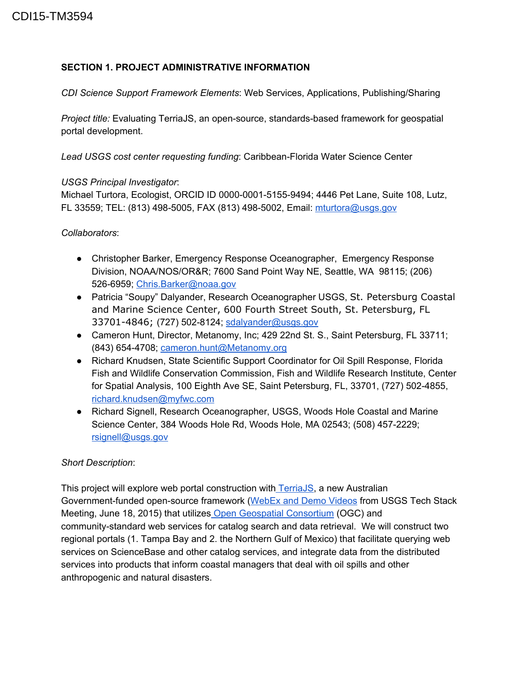# **SECTION 1. PROJECT ADMINISTRATIVE INFORMATION**

*CDI Science Support Framework Elements*: Web Services, Applications, Publishing/Sharing

*Project title:* Evaluating TerriaJS, an open-source, standards-based framework for geospatial portal development.

**Lead USGS cost center requesting funding: Caribbean-Florida Water Science Center** 

#### *USGS Principal Investigator*:

Michael Turtora, Ecologist, ORCID ID 0000000151559494; 4446 Pet Lane, Suite 108, Lutz, FL 33559; TEL: (813) 4985005, FAX (813) 4985002, Email: [mturtora@usgs.gov](mailto:mturtora@usgs.gov)

### *Collaborators*:

- Christopher Barker, Emergency Response Oceanographer, Emergency Response Division, NOAA/NOS/OR&R; 7600 Sand Point Way NE, Seattle, WA 98115; (206) 526-6959; [Chris.Barker@noaa.gov](mailto:Chris.Barker@noaa.gov)
- Patricia "Soupy" Dalyander, Research Oceanographer USGS, St. Petersburg Coastal and Marine Science Center, 600 Fourth Street South, St. Petersburg, FL 33701-4846; (727) 502-8124; [sdalyander@usgs.gov](mailto:sdalyander@usgs.gov)
- Cameron Hunt, Director, Metanomy, Inc; 429 22nd St. S., Saint Petersburg, FL 33711; (843) 6544708; [cameron.hunt@Metanomy.org](mailto:cameron.hunt@Metanomy.org)
- Richard Knudsen, State Scientific Support Coordinator for Oil Spill Response, Florida Fish and Wildlife Conservation Commission, Fish and Wildlife Research Institute, Center for Spatial Analysis, 100 Eighth Ave SE, Saint Petersburg, FL, 33701, (727) 5024855, [richard.knudsen@myfwc.com](mailto:richard.knudsen@myfwc.com)
- Richard Signell, Research Oceanographer, USGS, Woods Hole Coastal and Marine Science Center, 384 Woods Hole Rd, Woods Hole, MA 02543; (508) 457-2229; [rsignell@usgs.gov](mailto:rsignell@usgs.gov)

#### *Short Description*:

This project will explore web portal construction with [TerriaJS,](https://github.com/TerriaJS/terriajs) a new Australian Government-funded open-source framework [\(WebEx](https://www.youtube.com/watch?v=8plJmcwfS3Y&index=1&list=PLwZr38uPmCbTn8BxpRXaipBmycYL21hCI) and Demo Videos from USGS Tech Stack Meeting, June 18, 2015) that utilizes Open Geospatial [Consortium](http://www.opengeospatial.org/) (OGC) and community-standard web services for catalog search and data retrieval. We will construct two regional portals (1. Tampa Bay and 2. the Northern Gulf of Mexico) that facilitate querying web services on ScienceBase and other catalog services, and integrate data from the distributed services into products that inform coastal managers that deal with oil spills and other anthropogenic and natural disasters.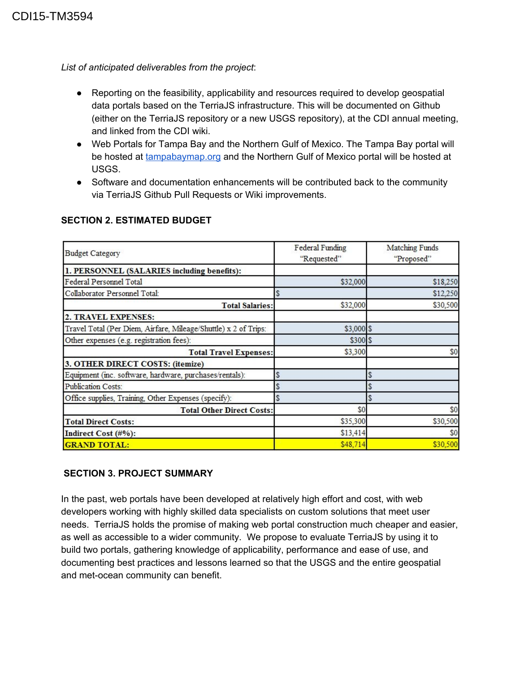*List of anticipated deliverables from the project*:

- Reporting on the feasibility, applicability and resources required to develop geospatial data portals based on the TerriaJS infrastructure. This will be documented on Github (either on the TerriaJS repository or a new USGS repository), at the CDI annual meeting, and linked from the CDI wiki.
- Web Portals for Tampa Bay and the Northern Gulf of Mexico. The Tampa Bay portal will be hosted at [tampabaymap.org](http://tampabaymap.org/) and the Northern Gulf of Mexico portal will be hosted at USGS.
- Software and documentation enhancements will be contributed back to the community via TerriaJS Github Pull Requests or Wiki improvements.

| <b>Budget Category</b>                                          | Federal Funding<br>"Requested" | Matching Funds<br>"Proposed" |
|-----------------------------------------------------------------|--------------------------------|------------------------------|
| 1. PERSONNEL (SALARIES including benefits):                     |                                |                              |
| Federal Personnel Total                                         | \$32,000                       | \$18,250                     |
| Collaborator Personnel Total:                                   | \$                             | \$12,250                     |
| <b>Total Salaries:</b>                                          | \$32,000                       | \$30,500                     |
| 2. TRAVEL EXPENSES:                                             |                                |                              |
| Travel Total (Per Diem, Airfare, Mileage/Shuttle) x 2 of Trips: | $$3,000$ \$                    |                              |
| Other expenses (e.g. registration fees):                        | \$300 \$                       |                              |
| <b>Total Travel Expenses:</b>                                   | \$3,300                        | \$0                          |
| 3. OTHER DIRECT COSTS: (itemize)                                |                                |                              |
| Equipment (inc. software, hardware, purchases/rentals):         | $\frac{1}{2}$                  | \$                           |
| <b>Publication Costs:</b>                                       | \$                             | \$                           |
| Office supplies, Training, Other Expenses (specify):            | \$                             |                              |
| <b>Total Other Direct Costs:</b>                                | \$0                            | \$0                          |
| <b>Total Direct Costs:</b>                                      | \$35,300                       | \$30,500                     |
| Indirect Cost (#%):                                             | \$13,414                       | \$0                          |
| <b>GRAND TOTAL:</b>                                             | \$48,714                       | \$30,500                     |

#### **SECTION 2. ESTIMATED BUDGET**

# **SECTION 3. PROJECT SUMMARY**

In the past, web portals have been developed at relatively high effort and cost, with web developers working with highly skilled data specialists on custom solutions that meet user needs. TerriaJS holds the promise of making web portal construction much cheaper and easier, as well as accessible to a wider community. We propose to evaluate TerriaJS by using it to build two portals, gathering knowledge of applicability, performance and ease of use, and documenting best practices and lessons learned so that the USGS and the entire geospatial and met-ocean community can benefit.